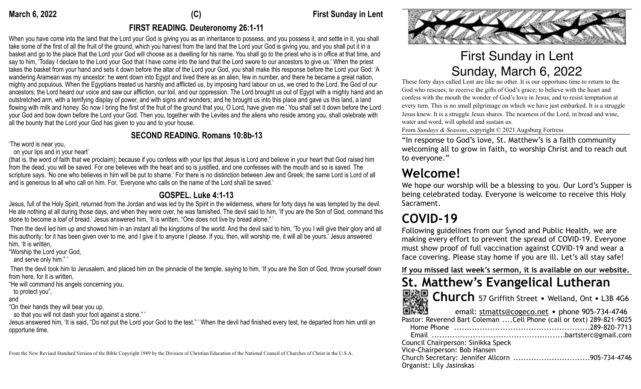## **FIRST READING. Deuteronomy 26:1-11**

When you have come into the land that the Lord your God is giving you as an inheritance to possess, and you possess it, and settle in it, you shall take some of the first of all the fruit of the ground, which you harvest from the land that the Lord your God is giving you, and you shall put it in a basket and go to the place that the Lord your God will choose as a dwelling for his name. You shall go to the priest who is in office at that time, and say to him, 'Today I declare to the Lord your God that I have come into the land that the Lord swore to our ancestors to give us.' When the priest takes the basket from your hand and sets it down before the altar of the Lord your God, you shall make this response before the Lord your God: 'A wandering Aramean was my ancestor; he went down into Egypt and lived there as an alien, few in number, and there he became a great nation, mighty and populous. When the Egyptians treated us harshly and afflicted us, by imposing hard labour on us, we cried to the Lord, the God of our ancestors; the Lord heard our voice and saw our affliction, our toil, and our oppression. The Lord brought us out of Egypt with a mighty hand and an outstretched arm, with a terrifying display of power, and with signs and wonders; and he brought us into this place and gave us this land, a land flowing with milk and honey. So now I bring the first of the fruit of the ground that you, O Lord, have given me.' You shall set it down before the Lord your God and bow down before the Lord your God. Then you, together with the Levites and the aliens who reside among you, shall celebrate with all the bounty that the Lord your God has given to you and to your house.

## **SECOND READING. Romans 10:8b-13**

'The word is near you,

on your lips and in your heart'

(that is, the word of faith that we proclaim); because if you confess with your lips that Jesus is Lord and believe in your heart that God raised him from the dead, you will be saved. For one believes with the heart and so is justified, and one confesses with the mouth and so is saved. The scripture says, 'No one who believes in him will be put to shame.' For there is no distinction between Jew and Greek; the same Lord is Lord of all and is generous to all who call on him. For, 'Everyone who calls on the name of the Lord shall be saved.'

### **GOSPEL. Luke 4:1-13**

Jesus, full of the Holy Spirit, returned from the Jordan and was led by the Spirit in the wilderness, where for forty days he was tempted by the devil. He ate nothing at all during those days, and when they were over, he was famished. The devil said to him, 'If you are the Son of God, command this stone to become a loaf of bread.' Jesus answered him, 'It is written, "One does not live by bread alone." '

 Then the devil led him up and showed him in an instant all the kingdoms of the world. And the devil said to him, 'To you I will give their glory and all this authority; for it has been given over to me, and I give it to anyone I please. If you, then, will worship me, it will all be yours.' Jesus answered him, 'It is written,

"Worship the Lord your God,

and serve only him." '

 Then the devil took him to Jerusalem, and placed him on the pinnacle of the temple, saying to him, 'If you are the Son of God, throw yourself down from here, for it is written,

"He will command his angels concerning you,

to protect you",

and

"On their hands they will bear you up,

so that you will not dash your foot against a stone." '

Jesus answered him, 'It is said, "Do not put the Lord your God to the test." ' When the devil had finished every test, he departed from him until an opportune time.

From the New Revised Standard Version of the Bible Copyright 1989 by the Division of Christian Education of the National Council of Churches of Christ in the U.S.A.



# First Sunday in Lent Sunday, March 6, 2022

These forty days called Lent are like no other. It is our opportune time to return to the God who rescues; to receive the gifts of God's grace; to believe with the heart and confess with the mouth the wonder of God's love in Jesus; and to resist temptation at every turn. This is no small pilgrimage on which we have just embarked. It is a struggle Jesus knew. It is a struggle Jesus shares. The nearness of the Lord, in bread and wine, water and word, will uphold and sustain us.

From *Sundays & Seasons*, copyright © 2021 Augsburg Fortress

"In response to God's love, St. Matthew's is a faith community welcoming all to grow in faith, to worship Christ and to reach out to everyone."

**Welcome!** We hope our worship will be a blessing to you. Our Lord's Supper is being celebrated today. Everyone is welcome to receive this Holy Sacrament.

# **COVID-19**

Following guidelines from our Synod and Public Health, we are making every effort to prevent the spread of COVID-19. Everyone must show proof of full vaccination against COVID-19 and wear a face covering. Please stay home if you are ill. Let's all stay safe!

**If you missed last week's sermon, it is available on our website.** 

# **St. Matthew's Evangelical Lutheran**



**只貌恩 Church** 57 Griffith Street • Welland, Ont • L3B 4G6

email: [stmatts@cogeco.net](mailto:stmatts@cogeco.net) • phone 905-734-4746

| Pastor: Reverend Bart Coleman Cell Phone (call or text) 289-821-9025 |  |                                                                                                                 |  |
|----------------------------------------------------------------------|--|-----------------------------------------------------------------------------------------------------------------|--|
|                                                                      |  |                                                                                                                 |  |
|                                                                      |  | the contract of the contract of the contract of the contract of the contract of the contract of the contract of |  |

| . |  |
|---|--|

Council Chairperson: Sinikka Speck Vice-Chairperson: Bob Hansen Church Secretary: Jennifer Allcorn ..................................905-734-4746 Organist: Lily Jasinskas